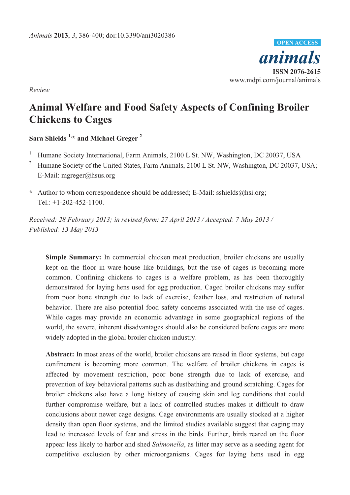

*Review* 

# **Animal Welfare and Food Safety Aspects of Confining Broiler Chickens to Cages**

**Sara Shields 1,\* and Michael Greger 2**

1 Humane Society International, Farm Animals, 2100 L St. NW, Washington, DC 20037, USA

- <sup>2</sup> Humane Society of the United States, Farm Animals, 2100 L St. NW, Washington, DC 20037, USA; E-Mail: mgreger@hsus.org
- **\*** Author to whom correspondence should be addressed; E-Mail: sshields@hsi.org; Tel.: +1-202-452-1100.

*Received: 28 February 2013; in revised form: 27 April 2013 / Accepted: 7 May 2013 / Published: 13 May 2013* 

**Simple Summary:** In commercial chicken meat production, broiler chickens are usually kept on the floor in ware-house like buildings, but the use of cages is becoming more common. Confining chickens to cages is a welfare problem, as has been thoroughly demonstrated for laying hens used for egg production. Caged broiler chickens may suffer from poor bone strength due to lack of exercise, feather loss, and restriction of natural behavior. There are also potential food safety concerns associated with the use of cages. While cages may provide an economic advantage in some geographical regions of the world, the severe, inherent disadvantages should also be considered before cages are more widely adopted in the global broiler chicken industry.

**Abstract:** In most areas of the world, broiler chickens are raised in floor systems, but cage confinement is becoming more common. The welfare of broiler chickens in cages is affected by movement restriction, poor bone strength due to lack of exercise, and prevention of key behavioral patterns such as dustbathing and ground scratching. Cages for broiler chickens also have a long history of causing skin and leg conditions that could further compromise welfare, but a lack of controlled studies makes it difficult to draw conclusions about newer cage designs. Cage environments are usually stocked at a higher density than open floor systems, and the limited studies available suggest that caging may lead to increased levels of fear and stress in the birds. Further, birds reared on the floor appear less likely to harbor and shed *Salmonella*, as litter may serve as a seeding agent for competitive exclusion by other microorganisms. Cages for laying hens used in egg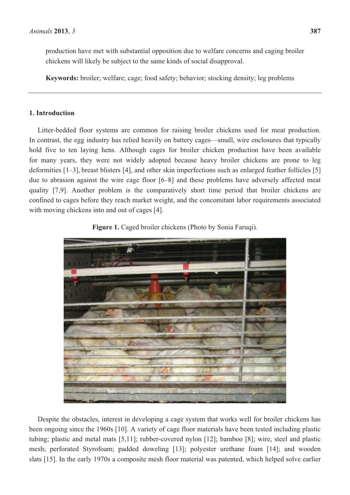chickens will likely be subject to the same kinds of social disapproval.

**Keywords:** broiler; welfare; cage; food safety; behavior; stocking density; leg problems

# **1. Introduction**

Litter-bedded floor systems are common for raising broiler chickens used for meat production. In contrast, the egg industry has relied heavily on battery cages—small, wire enclosures that typically hold five to ten laying hens. Although cages for broiler chicken production have been available for many years, they were not widely adopted because heavy broiler chickens are prone to leg deformities [1–3], breast blisters [4], and other skin imperfections such as enlarged feather follicles [5] due to abrasion against the wire cage floor [6–8] and these problems have adversely affected meat quality [7,9]. Another problem is the comparatively short time period that broiler chickens are confined to cages before they reach market weight, and the concomitant labor requirements associated with moving chickens into and out of cages [4].



**Figure 1.** Caged broiler chickens (Photo by Sonia Faruqi).

Despite the obstacles, interest in developing a cage system that works well for broiler chickens has been ongoing since the 1960s [10]. A variety of cage floor materials have been tested including plastic tubing; plastic and metal mats [5,11]; rubber-covered nylon [12]; bamboo [8]; wire, steel and plastic mesh; perforated Styrofoam; padded doweling [13]; polyester urethane foam [14]; and wooden slats [15]. In the early 1970s a composite mesh floor material was patented, which helped solve earlier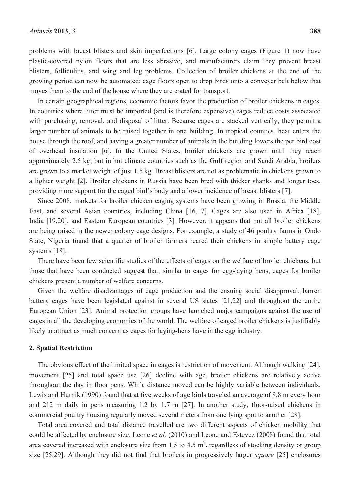problems with breast blisters and skin imperfections [6]. Large colony cages (Figure 1) now have plastic-covered nylon floors that are less abrasive, and manufacturers claim they prevent breast blisters, folliculitis, and wing and leg problems. Collection of broiler chickens at the end of the growing period can now be automated; cage floors open to drop birds onto a conveyer belt below that moves them to the end of the house where they are crated for transport.

In certain geographical regions, economic factors favor the production of broiler chickens in cages. In countries where litter must be imported (and is therefore expensive) cages reduce costs associated with purchasing, removal, and disposal of litter. Because cages are stacked vertically, they permit a larger number of animals to be raised together in one building. In tropical counties, heat enters the house through the roof, and having a greater number of animals in the building lowers the per bird cost of overhead insulation [6]. In the United States, broiler chickens are grown until they reach approximately 2.5 kg, but in hot climate countries such as the Gulf region and Saudi Arabia, broilers are grown to a market weight of just 1.5 kg. Breast blisters are not as problematic in chickens grown to a lighter weight [2]. Broiler chickens in Russia have been bred with thicker shanks and longer toes, providing more support for the caged bird's body and a lower incidence of breast blisters [7].

Since 2008, markets for broiler chicken caging systems have been growing in Russia, the Middle East, and several Asian countries, including China [16,17]. Cages are also used in Africa [18], India [19,20], and Eastern European countries [3]. However, it appears that not all broiler chickens are being raised in the newer colony cage designs. For example, a study of 46 poultry farms in Ondo State, Nigeria found that a quarter of broiler farmers reared their chickens in simple battery cage systems [18].

There have been few scientific studies of the effects of cages on the welfare of broiler chickens, but those that have been conducted suggest that, similar to cages for egg-laying hens, cages for broiler chickens present a number of welfare concerns.

Given the welfare disadvantages of cage production and the ensuing social disapproval, barren battery cages have been legislated against in several US states [21,22] and throughout the entire European Union [23]. Animal protection groups have launched major campaigns against the use of cages in all the developing economies of the world. The welfare of caged broiler chickens is justifiably likely to attract as much concern as cages for laying-hens have in the egg industry.

#### **2. Spatial Restriction**

The obvious effect of the limited space in cages is restriction of movement. Although walking [24], movement [25] and total space use [26] decline with age, broiler chickens are relatively active throughout the day in floor pens. While distance moved can be highly variable between individuals, Lewis and Hurnik (1990) found that at five weeks of age birds traveled an average of 8.8 m every hour and 212 m daily in pens measuring 1.2 by 1.7 m [27]. In another study, floor-raised chickens in commercial poultry housing regularly moved several meters from one lying spot to another [28].

Total area covered and total distance travelled are two different aspects of chicken mobility that could be affected by enclosure size. Leone *et al.* (2010) and Leone and Estevez (2008) found that total area covered increased with enclosure size from 1.5 to 4.5  $m^2$ , regardless of stocking density or group size [25,29]. Although they did not find that broilers in progressively larger *square* [25] enclosures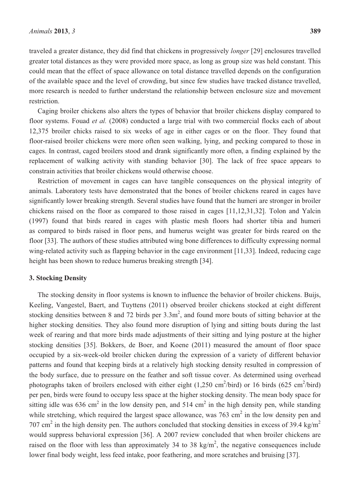traveled a greater distance, they did find that chickens in progressively *longer* [29] enclosures travelled greater total distances as they were provided more space, as long as group size was held constant. This could mean that the effect of space allowance on total distance travelled depends on the configuration of the available space and the level of crowding, but since few studies have tracked distance travelled, more research is needed to further understand the relationship between enclosure size and movement restriction.

Caging broiler chickens also alters the types of behavior that broiler chickens display compared to floor systems. Fouad *et al.* (2008) conducted a large trial with two commercial flocks each of about 12,375 broiler chicks raised to six weeks of age in either cages or on the floor. They found that floor-raised broiler chickens were more often seen walking, lying, and pecking compared to those in cages. In contrast, caged broilers stood and drank significantly more often, a finding explained by the replacement of walking activity with standing behavior [30]. The lack of free space appears to constrain activities that broiler chickens would otherwise choose.

Restriction of movement in cages can have tangible consequences on the physical integrity of animals. Laboratory tests have demonstrated that the bones of broiler chickens reared in cages have significantly lower breaking strength. Several studies have found that the humeri are stronger in broiler chickens raised on the floor as compared to those raised in cages [11,12,31,32]. Tolon and Yalcin (1997) found that birds reared in cages with plastic mesh floors had shorter tibia and humeri as compared to birds raised in floor pens, and humerus weight was greater for birds reared on the floor [33]. The authors of these studies attributed wing bone differences to difficulty expressing normal wing-related activity such as flapping behavior in the cage environment [11,33]. Indeed, reducing cage height has been shown to reduce humerus breaking strength [34].

## **3. Stocking Density**

The stocking density in floor systems is known to influence the behavior of broiler chickens. Buijs, Keeling, Vangestel, Baert, and Tuyttens (2011) observed broiler chickens stocked at eight different stocking densities between 8 and 72 birds per  $3.3 \text{m}^2$ , and found more bouts of sitting behavior at the higher stocking densities. They also found more disruption of lying and sitting bouts during the last week of rearing and that more birds made adjustments of their sitting and lying posture at the higher stocking densities [35]. Bokkers, de Boer, and Koene (2011) measured the amount of floor space occupied by a six-week-old broiler chicken during the expression of a variety of different behavior patterns and found that keeping birds at a relatively high stocking density resulted in compression of the body surface, due to pressure on the feather and soft tissue cover. As determined using overhead photographs taken of broilers enclosed with either eight  $(1,250 \text{ cm}^2/\text{bird})$  or 16 birds  $(625 \text{ cm}^2/\text{bird})$ per pen, birds were found to occupy less space at the higher stocking density. The mean body space for sitting idle was 636 cm<sup>2</sup> in the low density pen, and 514 cm<sup>2</sup> in the high density pen, while standing while stretching, which required the largest space allowance, was  $763 \text{ cm}^2$  in the low density pen and 707 cm<sup>2</sup> in the high density pen. The authors concluded that stocking densities in excess of 39.4 kg/m<sup>2</sup> would suppress behavioral expression [36]. A 2007 review concluded that when broiler chickens are raised on the floor with less than approximately 34 to 38 kg/m<sup>2</sup>, the negative consequences include lower final body weight, less feed intake, poor feathering, and more scratches and bruising [37].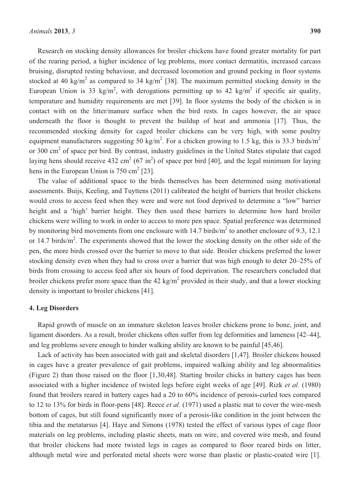Research on stocking density allowances for broiler chickens have found greater mortality for part of the rearing period, a higher incidence of leg problems, more contact dermatitis, increased carcass bruising, disrupted resting behaviour, and decreased locomotion and ground pecking in floor systems stocked at 40 kg/m<sup>2</sup> as compared to 34 kg/m<sup>2</sup> [38]. The maximum permitted stocking density in the European Union is 33 kg/m<sup>2</sup>, with derogations permitting up to 42 kg/m<sup>2</sup> if specific air quality, temperature and humidity requirements are met [39]. In floor systems the body of the chicken is in contact with on the litter/manure surface when the bird rests. In cages however, the air space underneath the floor is thought to prevent the buildup of heat and ammonia [17]. Thus, the recommended stocking density for caged broiler chickens can be very high, with some poultry equipment manufacturers suggesting 50 kg/m<sup>2</sup>. For a chicken growing to 1.5 kg, this is 33.3 birds/m<sup>2</sup> or 300 cm<sup>2</sup> of space per bird. By contrast, industry guidelines in the United States stipulate that caged laying hens should receive 432 cm<sup>2</sup> (67 in<sup>2</sup>) of space per bird [40], and the legal minimum for laying hens in the European Union is  $750 \text{ cm}^2$  [23].

The value of additional space to the birds themselves has been determined using motivational assessments. Buijs, Keeling, and Tuyttens (2011) calibrated the height of barriers that broiler chickens would cross to access feed when they were and were not food deprived to determine a "low" barrier height and a 'high' barrier height. They then used these barriers to determine how hard broiler chickens were willing to work in order to access to more pen space. Spatial preference was determined by monitoring bird movements from one enclosure with  $14.7$  birds/ $m<sup>2</sup>$  to another enclosure of 9.3, 12.1 or 14.7 birds/ $m^2$ . The experiments showed that the lower the stocking density on the other side of the pen, the more birds crossed over the barrier to move to that side. Broiler chickens preferred the lower stocking density even when they had to cross over a barrier that was high enough to deter 20–25% of birds from crossing to access feed after six hours of food deprivation. The researchers concluded that broiler chickens prefer more space than the 42 kg/m<sup>2</sup> provided in their study, and that a lower stocking density is important to broiler chickens [41].

#### **4. Leg Disorders**

Rapid growth of muscle on an immature skeleton leaves broiler chickens prone to bone, joint, and ligament disorders. As a result, broiler chickens often suffer from leg deformities and lameness [42–44], and leg problems severe enough to hinder walking ability are known to be painful [45,46].

Lack of activity has been associated with gait and skeletal disorders [1,47]. Broiler chickens housed in cages have a greater prevalence of gait problems, impaired walking ability and leg abnormalities (Figure 2) than those raised on the floor [1,30,48]. Starting broiler chicks in battery cages has been associated with a higher incidence of twisted legs before eight weeks of age [49]. Rizk *et al.* (1980) found that broilers reared in battery cages had a 20 to 60% incidence of perosis-curled toes compared to 12 to 13% for birds in floor-pens [48]. Reece *et al.* (1971) used a plastic mat to cover the wire-mesh bottom of cages, but still found significantly more of a perosis-like condition in the joint between the tibia and the metatarsus [4]. Haye and Simons (1978) tested the effect of various types of cage floor materials on leg problems, including plastic sheets, mats on wire, and covered wire mesh, and found that broiler chickens had more twisted legs in cages as compared to floor reared birds on litter, although metal wire and perforated metal sheets were worse than plastic or plastic-coated wire [1].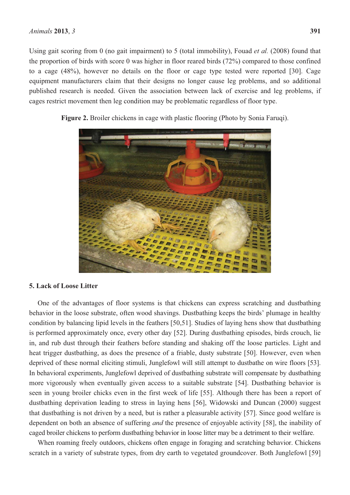Using gait scoring from 0 (no gait impairment) to 5 (total immobility), Fouad *et al.* (2008) found that the proportion of birds with score 0 was higher in floor reared birds (72%) compared to those confined to a cage (48%), however no details on the floor or cage type tested were reported [30]. Cage equipment manufacturers claim that their designs no longer cause leg problems, and so additional published research is needed. Given the association between lack of exercise and leg problems, if cages restrict movement then leg condition may be problematic regardless of floor type.



**Figure 2.** Broiler chickens in cage with plastic flooring (Photo by Sonia Faruqi).

## **5. Lack of Loose Litter**

One of the advantages of floor systems is that chickens can express scratching and dustbathing behavior in the loose substrate, often wood shavings. Dustbathing keeps the birds' plumage in healthy condition by balancing lipid levels in the feathers [50,51]. Studies of laying hens show that dustbathing is performed approximately once, every other day [52]. During dustbathing episodes, birds crouch, lie in, and rub dust through their feathers before standing and shaking off the loose particles. Light and heat trigger dustbathing, as does the presence of a friable, dusty substrate [50]. However, even when deprived of these normal eliciting stimuli, Junglefowl will still attempt to dustbathe on wire floors [53]. In behavioral experiments, Junglefowl deprived of dustbathing substrate will compensate by dustbathing more vigorously when eventually given access to a suitable substrate [54]. Dustbathing behavior is seen in young broiler chicks even in the first week of life [55]. Although there has been a report of dustbathing deprivation leading to stress in laying hens [56], Widowski and Duncan (2000) suggest that dustbathing is not driven by a need, but is rather a pleasurable activity [57]. Since good welfare is dependent on both an absence of suffering *and* the presence of enjoyable activity [58], the inability of caged broiler chickens to perform dustbathing behavior in loose litter may be a detriment to their welfare.

When roaming freely outdoors, chickens often engage in foraging and scratching behavior. Chickens scratch in a variety of substrate types, from dry earth to vegetated groundcover. Both Junglefowl [59]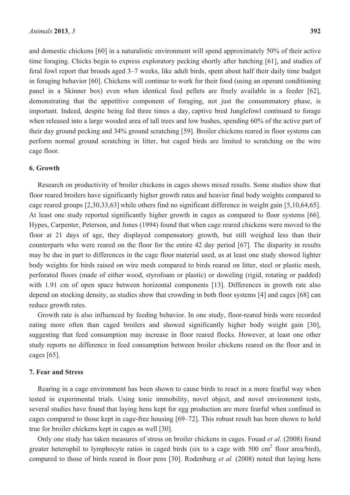and domestic chickens [60] in a naturalistic environment will spend approximately 50% of their active time foraging. Chicks begin to express exploratory pecking shortly after hatching [61], and studies of feral fowl report that broods aged 3–7 weeks, like adult birds, spent about half their daily time budget in foraging behavior [60]. Chickens will continue to work for their food (using an operant conditioning panel in a Skinner box) even when identical feed pellets are freely available in a feeder [62], demonstrating that the appetitive component of foraging, not just the consummatory phase, is important. Indeed, despite being fed three times a day, captive bred Junglefowl continued to forage when released into a large wooded area of tall trees and low bushes, spending 60% of the active part of their day ground pecking and 34% ground scratching [59]. Broiler chickens reared in floor systems can perform normal ground scratching in litter, but caged birds are limited to scratching on the wire cage floor.

## **6. Growth**

Research on productivity of broiler chickens in cages shows mixed results. Some studies show that floor reared broilers have significantly higher growth rates and heavier final body weights compared to cage reared groups [2,30,33,63] while others find no significant difference in weight gain [5,10,64,65]. At least one study reported significantly higher growth in cages as compared to floor systems [66]. Hypes, Carpenter, Peterson, and Jones (1994) found that when cage reared chickens were moved to the floor at 21 days of age, they displayed compensatory growth, but still weighed less than their counterparts who were reared on the floor for the entire 42 day period [67]. The disparity in results may be due in part to differences in the cage floor material used, as at least one study showed lighter body weights for birds raised on wire mesh compared to birds reared on litter, steel or plastic mesh, perforated floors (made of either wood, styrofoam or plastic) or doweling (rigid, rotating or padded) with 1.91 cm of open space between horizontal components [13]. Differences in growth rate also depend on stocking density, as studies show that crowding in both floor systems [4] and cages [68] can reduce growth rates.

Growth rate is also influenced by feeding behavior. In one study, floor-reared birds were recorded eating more often than caged broilers and showed significantly higher body weight gain [30], suggesting that feed consumption may increase in floor reared flocks. However, at least one other study reports no difference in feed consumption between broiler chickens reared on the floor and in cages [65].

# **7. Fear and Stress**

Rearing in a cage environment has been shown to cause birds to react in a more fearful way when tested in experimental trials. Using tonic immobility, novel object, and novel environment tests, several studies have found that laying hens kept for egg production are more fearful when confined in cages compared to those kept in cage-free housing [69–72]. This robust result has been shown to hold true for broiler chickens kept in cages as well [30].

Only one study has taken measures of stress on broiler chickens in cages. Fouad *et al.* (2008) found greater heterophil to lymphocyte ratios in caged birds (six to a cage with 500 cm<sup>2</sup> floor area/bird), compared to those of birds reared in floor pens [30]. Rodenburg *et al.* (2008) noted that laying hens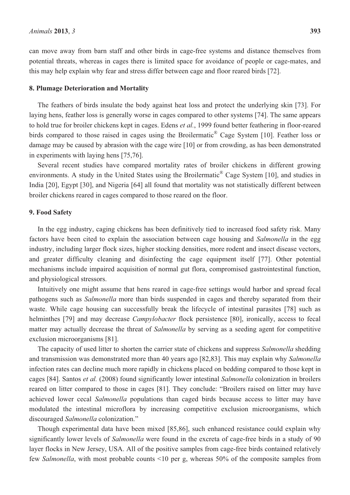can move away from barn staff and other birds in cage-free systems and distance themselves from potential threats, whereas in cages there is limited space for avoidance of people or cage-mates, and this may help explain why fear and stress differ between cage and floor reared birds [72].

### **8. Plumage Deterioration and Mortality**

The feathers of birds insulate the body against heat loss and protect the underlying skin [73]. For laying hens, feather loss is generally worse in cages compared to other systems [74]. The same appears to hold true for broiler chickens kept in cages. Edens *et al.*, 1999 found better feathering in floor-reared birds compared to those raised in cages using the Broilermatic<sup>®</sup> Cage System [10]. Feather loss or damage may be caused by abrasion with the cage wire [10] or from crowding, as has been demonstrated in experiments with laying hens [75,76].

Several recent studies have compared mortality rates of broiler chickens in different growing environments. A study in the United States using the Broilermatic® Cage System [10], and studies in India [20], Egypt [30], and Nigeria [64] all found that mortality was not statistically different between broiler chickens reared in cages compared to those reared on the floor.

#### **9. Food Safety**

In the egg industry, caging chickens has been definitively tied to increased food safety risk. Many factors have been cited to explain the association between cage housing and *Salmonella* in the egg industry, including larger flock sizes, higher stocking densities, more rodent and insect disease vectors, and greater difficulty cleaning and disinfecting the cage equipment itself [77]. Other potential mechanisms include impaired acquisition of normal gut flora, compromised gastrointestinal function, and physiological stressors.

Intuitively one might assume that hens reared in cage-free settings would harbor and spread fecal pathogens such as *Salmonella* more than birds suspended in cages and thereby separated from their waste. While cage housing can successfully break the lifecycle of intestinal parasites [78] such as helminthes [79] and may decrease *Campylobacter* flock persistence [80], ironically, access to fecal matter may actually decrease the threat of *Salmonella* by serving as a seeding agent for competitive exclusion microorganisms [81].

The capacity of used litter to shorten the carrier state of chickens and suppress *Salmonella* shedding and transmission was demonstrated more than 40 years ago [82,83]. This may explain why *Salmonella* infection rates can decline much more rapidly in chickens placed on bedding compared to those kept in cages [84]. Santos *et al.* (2008) found significantly lower intestinal *Salmonella* colonization in broilers reared on litter compared to those in cages [81]. They conclude: "Broilers raised on litter may have achieved lower cecal *Salmonella* populations than caged birds because access to litter may have modulated the intestinal microflora by increasing competitive exclusion microorganisms, which discouraged *Salmonella* colonization."

Though experimental data have been mixed [85,86], such enhanced resistance could explain why significantly lower levels of *Salmonella* were found in the excreta of cage-free birds in a study of 90 layer flocks in New Jersey, USA. All of the positive samples from cage-free birds contained relatively few *Salmonella*, with most probable counts <10 per g, whereas 50% of the composite samples from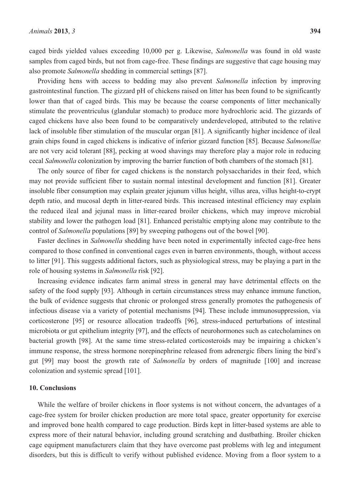caged birds yielded values exceeding 10,000 per g. Likewise, *Salmonella* was found in old waste samples from caged birds, but not from cage-free. These findings are suggestive that cage housing may also promote *Salmonella* shedding in commercial settings [87].

Providing hens with access to bedding may also prevent *Salmonella* infection by improving gastrointestinal function. The gizzard pH of chickens raised on litter has been found to be significantly lower than that of caged birds. This may be because the coarse components of litter mechanically stimulate the proventriculus (glandular stomach) to produce more hydrochloric acid. The gizzards of caged chickens have also been found to be comparatively underdeveloped, attributed to the relative lack of insoluble fiber stimulation of the muscular organ [81]. A significantly higher incidence of ileal grain chips found in caged chickens is indicative of inferior gizzard function [85]. Because *Salmonellae* are not very acid tolerant [88], pecking at wood shavings may therefore play a major role in reducing cecal *Salmonella* colonization by improving the barrier function of both chambers of the stomach [81].

The only source of fiber for caged chickens is the nonstarch polysaccharides in their feed, which may not provide sufficient fiber to sustain normal intestinal development and function [81]. Greater insoluble fiber consumption may explain greater jejunum villus height, villus area, villus height-to-crypt depth ratio, and mucosal depth in litter-reared birds. This increased intestinal efficiency may explain the reduced ileal and jejunal mass in litter-reared broiler chickens, which may improve microbial stability and lower the pathogen load [81]. Enhanced peristaltic emptying alone may contribute to the control of *Salmonella* populations [89] by sweeping pathogens out of the bowel [90].

Faster declines in *Salmonella* shedding have been noted in experimentally infected cage-free hens compared to those confined in conventional cages even in barren environments, though, without access to litter [91]. This suggests additional factors, such as physiological stress, may be playing a part in the role of housing systems in *Salmonella* risk [92].

Increasing evidence indicates farm animal stress in general may have detrimental effects on the safety of the food supply [93]. Although in certain circumstances stress may enhance immune function, the bulk of evidence suggests that chronic or prolonged stress generally promotes the pathogenesis of infectious disease via a variety of potential mechanisms [94]. These include immunosuppression, via corticosterone [95] or resource allocation tradeoffs [96], stress-induced perturbations of intestinal microbiota or gut epithelium integrity [97], and the effects of neurohormones such as catecholamines on bacterial growth [98]. At the same time stress-related corticosteroids may be impairing a chicken's immune response, the stress hormone norepinephrine released from adrenergic fibers lining the bird's gut [99] may boost the growth rate of *Salmonella* by orders of magnitude [100] and increase colonization and systemic spread [101].

#### **10. Conclusions**

While the welfare of broiler chickens in floor systems is not without concern, the advantages of a cage-free system for broiler chicken production are more total space, greater opportunity for exercise and improved bone health compared to cage production. Birds kept in litter-based systems are able to express more of their natural behavior, including ground scratching and dustbathing. Broiler chicken cage equipment manufacturers claim that they have overcome past problems with leg and integument disorders, but this is difficult to verify without published evidence. Moving from a floor system to a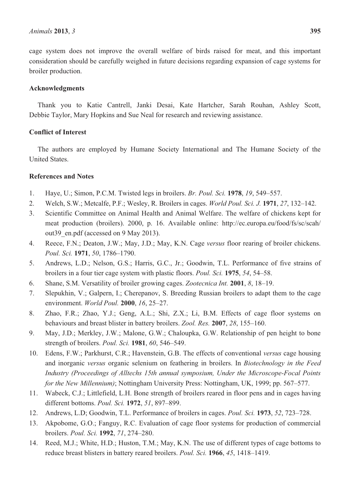cage system does not improve the overall welfare of birds raised for meat, and this important consideration should be carefully weighed in future decisions regarding expansion of cage systems for broiler production.

## **Acknowledgments**

Thank you to Katie Cantrell, Janki Desai, Kate Hartcher, Sarah Rouhan, Ashley Scott, Debbie Taylor, Mary Hopkins and Sue Neal for research and reviewing assistance.

# **Conflict of Interest**

The authors are employed by Humane Society International and The Humane Society of the United States.

# **References and Notes**

- 1. Haye, U.; Simon, P.C.M. Twisted legs in broilers. *Br. Poul. Sci.* **1978**, *19*, 549–557.
- 2. Welch, S.W.; Metcalfe, P.F.; Wesley, R. Broilers in cages. *World Poul. Sci. J.* **1971**, *27*, 132–142.
- 3. Scientific Committee on Animal Health and Animal Welfare. The welfare of chickens kept for meat production (broilers). 2000, p. 16. Available online: http://ec.europa.eu/food/fs/sc/scah/ out 39 en.pdf (accessed on 9 May 2013).
- 4. Reece, F.N.; Deaton, J.W.; May, J.D.; May, K.N. Cage *versus* floor rearing of broiler chickens. *Poul. Sci.* **1971**, *50*, 1786–1790.
- 5. Andrews, L.D.; Nelson, G.S.; Harris, G.C., Jr.; Goodwin, T.L. Performance of five strains of broilers in a four tier cage system with plastic floors. *Poul. Sci.* **1975**, *54*, 54–58.
- 6. Shane, S.M. Versatility of broiler growing cages. *Zootecnica Int.* **2001**, *8*, 18–19.
- 7. Slepukhin, V.; Galpern, I.; Cherepanov, S. Breeding Russian broilers to adapt them to the cage environment. *World Poul.* **2000**, *16*, 25–27.
- 8. Zhao, F.R.; Zhao, Y.J.; Geng, A.L.; Shi, Z.X.; Li, B.M. Effects of cage floor systems on behaviours and breast blister in battery broilers. *Zool. Res.* **2007**, *28*, 155–160.
- 9. May, J.D.; Merkley, J.W.; Malone, G.W.; Chaloupka, G.W. Relationship of pen height to bone strength of broilers. *Poul. Sci.* **1981**, *60*, 546–549.
- 10. Edens, F.W.; Parkhurst, C.R.; Havenstein, G.B. The effects of conventional *versus* cage housing and inorganic *versus* organic selenium on feathering in broilers. In *Biotechnology in the Feed Industry (Proceedings of Alltechs 15th annual symposium, Under the Microscope-Focal Points for the New Millennium)*; Nottingham University Press: Nottingham, UK, 1999; pp. 567–577.
- 11. Wabeck, C.J.; Littlefield, L.H. Bone strength of broilers reared in floor pens and in cages having different bottoms. *Poul. Sci.* **1972**, *51*, 897–899.
- 12. Andrews, L.D; Goodwin, T.L. Performance of broilers in cages. *Poul. Sci.* **1973**, *52*, 723–728.
- 13. Akpobome, G.O.; Fanguy, R.C. Evaluation of cage floor systems for production of commercial broilers. *Poul. Sci.* **1992**, *71*, 274–280.
- 14. Reed, M.J.; White, H.D.; Huston, T.M.; May, K.N. The use of different types of cage bottoms to reduce breast blisters in battery reared broilers. *Poul. Sci.* **1966**, *45*, 1418–1419.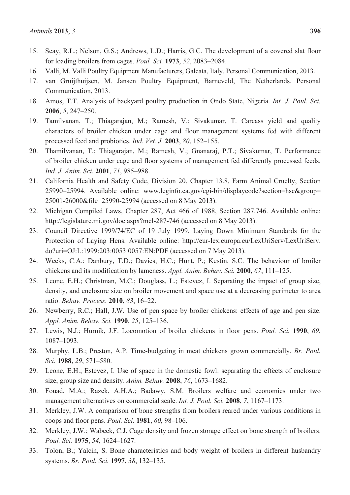- 15. Seay, R.L.; Nelson, G.S.; Andrews, L.D.; Harris, G.C. The development of a covered slat floor for loading broilers from cages. *Poul. Sci.* **1973**, *52*, 2083–2084.
- 16. Valli, M. Valli Poultry Equipment Manufacturers, Galeata, Italy. Personal Communication, 2013.
- 17. van Gruijthuijsen, M. Jansen Poultry Equipment, Barneveld, The Netherlands. Personal Communication, 2013.
- 18. Amos, T.T. Analysis of backyard poultry production in Ondo State, Nigeria. *Int. J. Poul. Sci.* **2006**, *5*, 247–250.
- 19. Tamilvanan, T.; Thiagarajan, M.; Ramesh, V.; Sivakumar, T. Carcass yield and quality characters of broiler chicken under cage and floor management systems fed with different processed feed and probiotics. *Ind. Vet. J.* **2003**, *80*, 152–155.
- 20. Thamilvanan, T.; Thiagarajan, M.; Ramesh, V.; Gnanaraj, P.T.; Sivakumar, T. Performance of broiler chicken under cage and floor systems of management fed differently processed feeds. *Ind. J. Anim. Sci.* **2001**, *71*, 985–988.
- 21. California Health and Safety Code, Division 20, Chapter 13.8, Farm Animal Cruelty, Section 25990–25994. Available online: www.leginfo.ca.gov/cgi-bin/displaycode?section=hsc&group= 25001-26000&file=25990-25994 (accessed on 8 May 2013).
- 22. Michigan Compiled Laws, Chapter 287, Act 466 of 1988, Section 287.746. Available online: http://legislature.mi.gov/doc.aspx?mcl-287-746 (accessed on 8 May 2013).
- 23. Council Directive 1999/74/EC of 19 July 1999. Laying Down Minimum Standards for the Protection of Laying Hens. Available online: http://eur-lex.europa.eu/LexUriServ/LexUriServ. do?uri=OJ:L:1999:203:0053:0057:EN:PDF (accessed on 7 May 2013).
- 24. Weeks, C.A.; Danbury, T.D.; Davies, H.C.; Hunt, P.; Kestin, S.C. The behaviour of broiler chickens and its modification by lameness. *Appl. Anim. Behav. Sci.* **2000**, *67*, 111–125.
- 25. Leone, E.H.; Christman, M.C.; Douglass, L.; Estevez, I. Separating the impact of group size, density, and enclosure size on broiler movement and space use at a decreasing perimeter to area ratio. *Behav. Process.* **2010**, *83*, 16–22.
- 26. Newberry, R.C.; Hall, J.W. Use of pen space by broiler chickens: effects of age and pen size. *Appl. Anim. Behav. Sci.* **1990**, *25*, 125–136.
- 27. Lewis, N.J.; Hurnik, J.F. Locomotion of broiler chickens in floor pens. *Poul. Sci.* **1990**, *69*, 1087–1093.
- 28. Murphy, L.B.; Preston, A.P. Time-budgeting in meat chickens grown commercially. *Br. Poul. Sci.* **1988**, *29*, 571–580.
- 29. Leone, E.H.; Estevez, I. Use of space in the domestic fowl: separating the effects of enclosure size, group size and density. *Anim. Behav.* **2008**, *76*, 1673–1682.
- 30. Fouad, M.A.; Razek, A.H.A.; Badawy, S.M. Broilers welfare and economics under two management alternatives on commercial scale. *Int. J. Poul. Sci.* **2008**, *7*, 1167–1173.
- 31. Merkley, J.W. A comparison of bone strengths from broilers reared under various conditions in coops and floor pens. *Poul. Sci.* **1981**, *60*, 98–106.
- 32. Merkley, J.W.; Wabeck, C.J. Cage density and frozen storage effect on bone strength of broilers. *Poul. Sci.* **1975**, *54*, 1624–1627.
- 33. Tolon, B.; Yalcin, S. Bone characteristics and body weight of broilers in different husbandry systems. *Br. Poul. Sci.* **1997**, *38*, 132–135.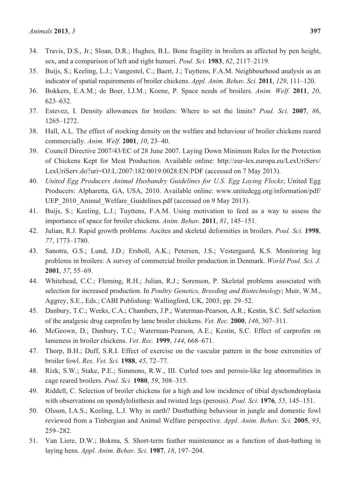- 34. Travis, D.S., Jr.; Sloan, D.R.; Hughes, B.L. Bone fragility in broilers as affected by pen height, sex, and a comparison of left and right humeri. *Poul. Sci.* **1983**, *62*, 2117–2119.
- 35. Buijs, S.; Keeling, L.J.; Vangestel, C.; Baert, J.; Tuyttens, F.A.M. Neighbourhood analysis as an indicator of spatial requirements of broiler chickens. *Appl. Anim. Behav. Sci.* **2011**, *129*, 111–120.
- 36. Bokkers, E.A.M.; de Boer, I.J.M.; Koene, P. Space needs of broilers. *Anim. Welf.* **2011**, *20*, 623–632.
- 37. Estevez, I. Density allowances for broilers: Where to set the limits? *Poul. Sci.* **2007**, *86*, 1265–1272.
- 38. Hall, A.L. The effect of stocking density on the welfare and behaviour of broiler chickens reared commercially. *Anim. Welf.* **2001**, *10*, 23–40.
- 39. Council Directive 2007/43/EC of 28 June 2007. Laying Down Minimum Rules for the Protection of Chickens Kept for Meat Production. Available online: http://eur-lex.europa.eu/LexUriServ/ LexUriServ.do?uri=OJ:L:2007:182:0019:0028:EN:PDF (accessed on 7 May 2013).
- 40. *United Egg Producers Animal Husbandry Guidelines for U.S. Egg Laying Flocks*; United Egg Producers: Alpharetta, GA, USA, 2010. Available online: www.unitedegg.org/information/pdf/ UEP 2010 Animal Welfare Guidelines.pdf (accessed on 9 May 2013).
- 41. Buijs, S.; Keeling, L.J.; Tuyttens, F.A.M. Using motivation to feed as a way to assess the importance of space for broiler chickens. *Anim. Behav.* **2011**, *81*, 145–151.
- 42. Julian, R.J. Rapid growth problems: Ascites and skeletal deformities in broilers. *Poul. Sci.* **1998**, *77*, 1773–1780.
- 43. Sanotra, G.S.; Lund, J.D.; Ersboll, A.K.; Petersen, J.S.; Vestergaard, K.S. Monitoring leg problems in broilers: A survey of commercial broiler production in Denmark. *World Poul. Sci. J.*  **2001**, *57*, 55–69.
- 44. Whitehead, C.C.; Fleming, R.H.; Julian, R.J.; Sorenson, P. Skeletal problems associated with selection for increased production. In *Poultry Genetics, Breeding and Biotechnology*; Muir, W.M., Aggrey, S.E., Eds.; CABI Publishing: Wallingford, UK, 2003; pp. 29–52.
- 45. Danbury, T.C.; Weeks, C.A.; Chambers, J.P.; Waterman-Pearson, A.R.; Kestin, S.C. Self selection of the analgesic drug carprofen by lame broiler chickens. *Vet. Rec.* **2000**, *146*, 307–311.
- 46. McGeown, D.; Danbury, T.C.; Waterman-Pearson, A.E.; Kestin, S.C. Effect of carprofen on lameness in broiler chickens. *Vet. Rec.* **1999**, *144*, 668–671.
- 47. Thorp, B.H.; Duff, S.R.I. Effect of exercise on the vascular pattern in the bone extremities of broiler fowl. *Res. Vet. Sci.* **1988**, *45*, 72–77.
- 48. Rizk, S.W.; Stake, P.E.; Simmons, R.W., III. Curled toes and perosis-like leg abnormalities in cage reared broilers. *Poul. Sci.* **1980**, *59*, 308–315.
- 49. Riddell, C. Selection of broiler chickens for a high and low incidence of tibial dyschondroplasia with observations on spondylolisthesis and twisted legs (perosis). *Poul. Sci.* **1976**, *55*, 145–151.
- 50. Olsson, I.A.S.; Keeling, L.J. Why in earth? Dustbathing behaviour in jungle and domestic fowl reviewed from a Tinbergian and Animal Welfare perspective. *Appl. Anim. Behav. Sci.* **2005**, *93*, 259–282.
- 51. Van Liere, D.W.; Bokma, S. Short-term feather maintenance as a function of dust-bathing in laying hens. *Appl. Anim. Behav. Sci.* **1987**, *18*, 197–204.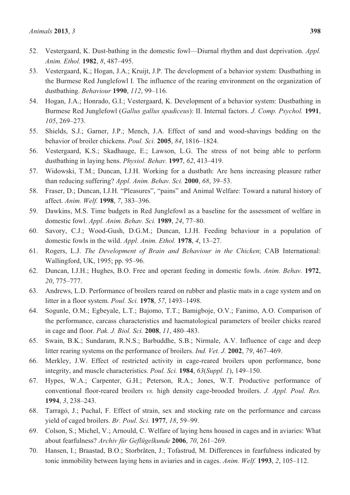- 52. Vestergaard, K. Dust-bathing in the domestic fowl—Diurnal rhythm and dust deprivation. *Appl. Anim. Ethol.* **1982**, *8*, 487–495.
- 53. Vestergaard, K.; Hogan, J.A.; Kruijt, J.P. The development of a behavior system: Dustbathing in the Burmese Red Junglefowl I. The influence of the rearing environment on the organization of dustbathing. *Behaviour* **1990**, *112*, 99–116.
- 54. Hogan, J.A.; Honrado, G.I.; Vestergaard, K. Development of a behavior system: Dustbathing in Burmese Red Junglefowl (*Gallus gallus spadiceus*): II. Internal factors. *J. Comp. Psychol.* **1991**, *105*, 269–273.
- 55. Shields, S.J.; Garner, J.P.; Mench, J.A. Effect of sand and wood-shavings bedding on the behavior of broiler chickens. *Poul. Sci.* **2005**, *84*, 1816–1824.
- 56. Vestergaard, K.S.; Skadhauge, E.; Lawson, L.G. The stress of not being able to perform dustbathing in laying hens. *Physiol. Behav.* **1997**, *62*, 413–419.
- 57. Widowski, T.M.; Duncan, I.J.H. Working for a dustbath: Are hens increasing pleasure rather than reducing suffering? *Appl. Anim. Behav. Sci.* **2000**, *68*, 39–53.
- 58. Fraser, D.; Duncan, I.J.H. "Pleasures", "pains" and Animal Welfare: Toward a natural history of affect. *Anim. Welf.* **1998**, *7*, 383–396.
- 59. Dawkins, M.S. Time budgets in Red Junglefowl as a baseline for the assessment of welfare in domestic fowl. *Appl. Anim. Behav. Sci.* **1989**, *24*, 77–80.
- 60. Savory, C.J.; Wood-Gush, D.G.M.; Duncan, I.J.H. Feeding behaviour in a population of domestic fowls in the wild. *Appl. Anim. Ethol.* **1978**, *4*, 13–27.
- 61. Rogers, L.J. *The Development of Brain and Behaviour in the Chicken*; CAB International: Wallingford, UK, 1995; pp. 95–96.
- 62. Duncan, I.J.H.; Hughes, B.O. Free and operant feeding in domestic fowls. *Anim. Behav.* **1972**, *20*, 775–777.
- 63. Andrews, L.D. Performance of broilers reared on rubber and plastic mats in a cage system and on litter in a floor system. *Poul. Sci.* **1978**, *57*, 1493–1498.
- 64. Sogunle, O.M.; Egbeyale, L.T.; Bajomo, T.T.; Bamigboje, O.V.; Fanimo, A.O. Comparison of the performance, carcass characteristics and haematological parameters of broiler chicks reared in cage and floor. *Pak. J. Biol. Sci.* **2008**, *11*, 480–483.
- 65. Swain, B.K.; Sundaram, R.N.S.; Barbuddhe, S.B.; Nirmale, A.V. Influence of cage and deep litter rearing systems on the performance of broilers. *Ind. Vet. J.* **2002**, *79*, 467–469.
- 66. Merkley, J.W. Effect of restricted activity in cage-reared broilers upon performance, bone integrity, and muscle characteristics. *Poul. Sci.* **1984**, *63*(*Suppl. 1*), 149–150.
- 67. Hypes, W.A.; Carpenter, G.H.; Peterson, R.A.; Jones, W.T. Productive performance of conventional floor-reared broilers *vs.* high density cage-brooded broilers. *J. Appl. Poul. Res.* **1994**, *3*, 238–243.
- 68. Tarragó, J.; Puchal, F. Effect of strain, sex and stocking rate on the performance and carcass yield of caged broilers. *Br. Poul. Sci.* **1977**, *18*, 59–99.
- 69. Colson, S.; Michel, V.; Arnould, C. Welfare of laying hens housed in cages and in aviaries: What about fearfulness? *Archiv für Geflügelkunde* **2006**, *70*, 261–269.
- 70. Hansen, I.; Braastad, B.O.; Storbråten, J.; Tofastrud, M. Differences in fearfulness indicated by tonic immobility between laying hens in aviaries and in cages. *Anim. Welf.* **1993**, *2*, 105–112.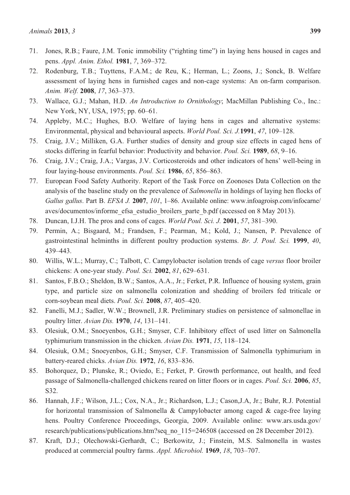- 71. Jones, R.B.; Faure, J.M. Tonic immobility ("righting time") in laying hens housed in cages and pens. *Appl. Anim. Ethol.* **1981**, *7*, 369–372.
- 72. Rodenburg, T.B.; Tuyttens, F.A.M.; de Reu, K.; Herman, L.; Zoons, J.; Sonck, B. Welfare assessment of laying hens in furnished cages and non-cage systems: An on-farm comparison. *Anim. Welf.* **2008**, *17*, 363–373.
- 73. Wallace, G.J.; Mahan, H.D. *An Introduction to Ornithology*; MacMillan Publishing Co., Inc.: New York, NY, USA, 1975; pp. 60–61.
- 74. Appleby, M.C.; Hughes, B.O. Welfare of laying hens in cages and alternative systems: Environmental, physical and behavioural aspects. *World Poul. Sci. J.***1991**, *47*, 109–128.
- 75. Craig, J.V.; Milliken, G.A. Further studies of density and group size effects in caged hens of stocks differing in fearful behavior: Productivity and behavior. *Poul. Sci.* **1989**, *68*, 9–16.
- 76. Craig, J.V.; Craig, J.A.; Vargas, J.V. Corticosteroids and other indicators of hens' well-being in four laying-house environments. *Poul. Sci.* **1986**, *65*, 856–863.
- 77. European Food Safety Authority. Report of the Task Force on Zoonoses Data Collection on the analysis of the baseline study on the prevalence of *Salmonella* in holdings of laying hen flocks of *Gallus gallus*. Part B. *EFSA J.* **2007**, *101*, 1–86. Available online: www.infoagroisp.com/infocarne/ aves/documentos/informe\_efsa\_estudio\_broilers\_parte\_b.pdf (accessed on 8 May 2013).
- 78. Duncan, I.J.H. The pros and cons of cages. *World Poul. Sci. J.* **2001**, *57*, 381–390.
- 79. Permin, A.; Bisgaard, M.; Frandsen, F.; Pearman, M.; Kold, J.; Nansen, P. Prevalence of gastrointestinal helminths in different poultry production systems. *Br. J. Poul. Sci.* **1999**, *40*, 439–443.
- 80. Willis, W.L.; Murray, C.; Talbott, C. Campylobacter isolation trends of cage *versus* floor broiler chickens: A one-year study. *Poul. Sci.* **2002**, *81*, 629–631.
- 81. Santos, F.B.O.; Sheldon, B.W.; Santos, A.A., Jr.; Ferket, P.R. Influence of housing system, grain type, and particle size on salmonella colonization and shedding of broilers fed triticale or corn-soybean meal diets. *Poul. Sci.* **2008**, *87*, 405–420.
- 82. Fanelli, M.J.; Sadler, W.W.; Brownell, J.R. Preliminary studies on persistence of salmonellae in poultry litter. *Avian Dis.* **1970**, *14*, 131–141.
- 83. Olesiuk, O.M.; Snoeyenbos, G.H.; Smyser, C.F. Inhibitory effect of used litter on Salmonella typhimurium transmission in the chicken. *Avian Dis.* **1971**, *15*, 118–124.
- 84. Olesiuk, O.M.; Snoeyenbos, G.H.; Smyser, C.F. Transmission of Salmonella typhimurium in battery-reared chicks. *Avian Dis.* **1972**, *16*, 833–836.
- 85. Bohorquez, D.; Plunske, R.; Oviedo, E.; Ferket, P. Growth performance, out health, and feed passage of Salmonella-challenged chickens reared on litter floors or in cages. *Poul. Sci.* **2006**, *85*, S32.
- 86. Hannah, J.F.; Wilson, J.L.; Cox, N.A., Jr.; Richardson, L.J.; Cason,J.A, Jr.; Buhr, R.J. Potential for horizontal transmission of Salmonella & Campylobacter among caged & cage-free laying hens. Poultry Conference Proceedings, Georgia, 2009. Available online: www.ars.usda.gov/ research/publications/publications.htm?seq\_no\_115=246508 (accessed on 28 December 2012).
- 87. Kraft, D.J.; Olechowski-Gerhardt, C.; Berkowitz, J.; Finstein, M.S. Salmonella in wastes produced at commercial poultry farms. *Appl. Microbiol.* **1969**, *18*, 703–707.